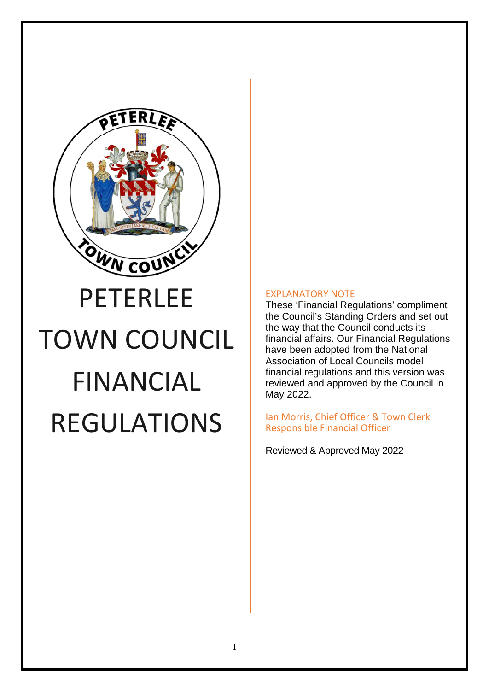

# TOWN COUNCIL FINANCIAL REGULATIONS

#### EXPLANATORY NOTE

These 'Financial Regulations' compliment the Council's Standing Orders and set out the way that the Council conducts its financial affairs. Our Financial Regulations have been adopted from the National Association of Local Councils model financial regulations and this version was reviewed and approved by the Council in May 2022.

Ian Morris, Chief Officer & Town Clerk Responsible Financial Officer

Reviewed & Approved May 2022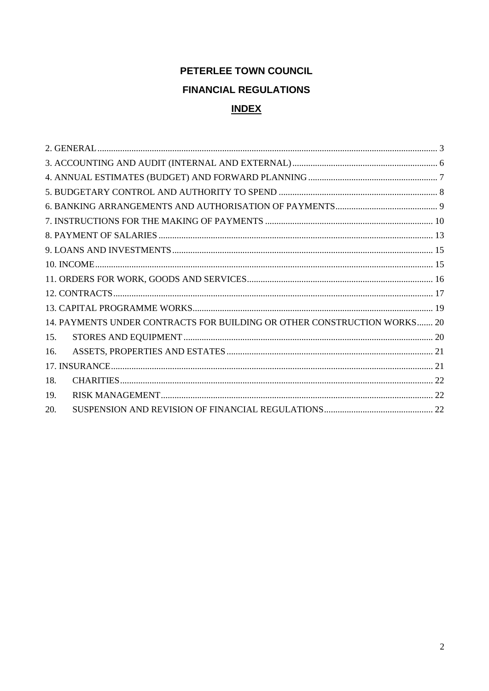# PETERLEE TOWN COUNCIL **FINANCIAL REGULATIONS INDEX**

| 14. PAYMENTS UNDER CONTRACTS FOR BUILDING OR OTHER CONSTRUCTION WORKS 20 |  |  |
|--------------------------------------------------------------------------|--|--|
| 15.                                                                      |  |  |
| 16.                                                                      |  |  |
|                                                                          |  |  |
| 18.                                                                      |  |  |
| 19.                                                                      |  |  |
| 20.                                                                      |  |  |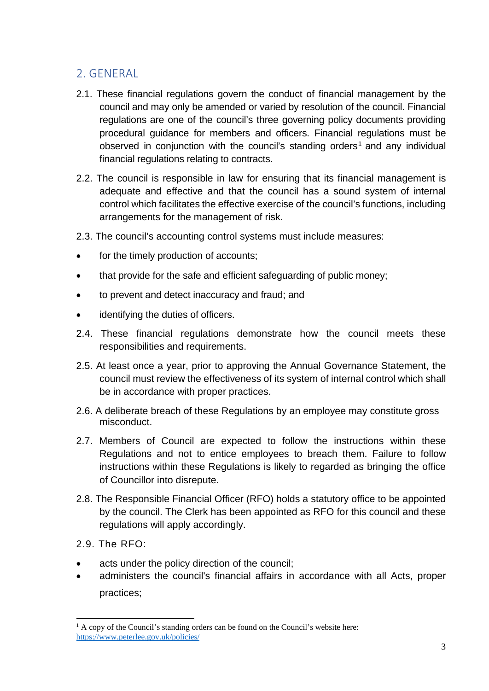# <span id="page-2-0"></span>2. GENERAL

- 2.1. These financial regulations govern the conduct of financial management by the council and may only be amended or varied by resolution of the council. Financial regulations are one of the council's three governing policy documents providing procedural guidance for members and officers. Financial regulations must be observed in conjunction with the council's standing orders<sup>1</sup> and any individual financial regulations relating to contracts.
- 2.2. The council is responsible in law for ensuring that its financial management is adequate and effective and that the council has a sound system of internal control which facilitates the effective exercise of the council's functions, including arrangements for the management of risk.
- 2.3. The council's accounting control systems must include measures:
- for the timely production of accounts;
- that provide for the safe and efficient safeguarding of public money;
- to prevent and detect inaccuracy and fraud; and
- identifying the duties of officers.
- 2.4. These financial regulations demonstrate how the council meets these responsibilities and requirements.
- 2.5. At least once a year, prior to approving the Annual Governance Statement, the council must review the effectiveness of its system of internal control which shall be in accordance with proper practices.
- 2.6. A deliberate breach of these Regulations by an employee may constitute gross misconduct.
- 2.7. Members of Council are expected to follow the instructions within these Regulations and not to entice employees to breach them. Failure to follow instructions within these Regulations is likely to regarded as bringing the office of Councillor into disrepute.
- 2.8. The Responsible Financial Officer (RFO) holds a statutory office to be appointed by the council. The Clerk has been appointed as RFO for this council and these regulations will apply accordingly.
- 2.9. The RFO:
- acts under the policy direction of the council;
- administers the council's financial affairs in accordance with all Acts, proper practices;

<sup>&</sup>lt;sup>1</sup> A copy of the Council's standing orders can be found on the Council's website here: <https://www.peterlee.gov.uk/policies/>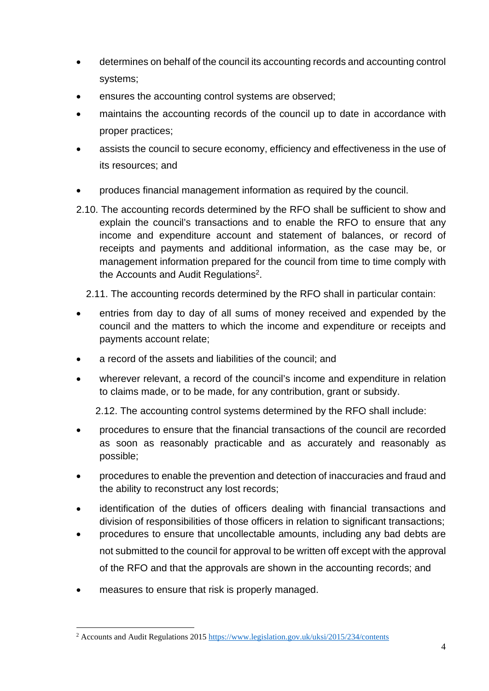- determines on behalf of the council its accounting records and accounting control systems;
- ensures the accounting control systems are observed;
- maintains the accounting records of the council up to date in accordance with proper practices;
- assists the council to secure economy, efficiency and effectiveness in the use of its resources; and
- produces financial management information as required by the council.
- 2.10. The accounting records determined by the RFO shall be sufficient to show and explain the council's transactions and to enable the RFO to ensure that any income and expenditure account and statement of balances, or record of receipts and payments and additional information, as the case may be, or management information prepared for the council from time to time comply with the Accounts and Audit Regulations<sup>2</sup>.
	- 2.11. The accounting records determined by the RFO shall in particular contain:
- entries from day to day of all sums of money received and expended by the council and the matters to which the income and expenditure or receipts and payments account relate;
- a record of the assets and liabilities of the council; and
- wherever relevant, a record of the council's income and expenditure in relation to claims made, or to be made, for any contribution, grant or subsidy.

2.12. The accounting control systems determined by the RFO shall include:

- procedures to ensure that the financial transactions of the council are recorded as soon as reasonably practicable and as accurately and reasonably as possible;
- procedures to enable the prevention and detection of inaccuracies and fraud and the ability to reconstruct any lost records;
- identification of the duties of officers dealing with financial transactions and division of responsibilities of those officers in relation to significant transactions;
- procedures to ensure that uncollectable amounts, including any bad debts are not submitted to the council for approval to be written off except with the approval of the RFO and that the approvals are shown in the accounting records; and
- measures to ensure that risk is properly managed.

<sup>&</sup>lt;sup>2</sup> Accounts and Audit Regulations 2015 https://www.legislation.gov.uk/uksi/2015/234/contents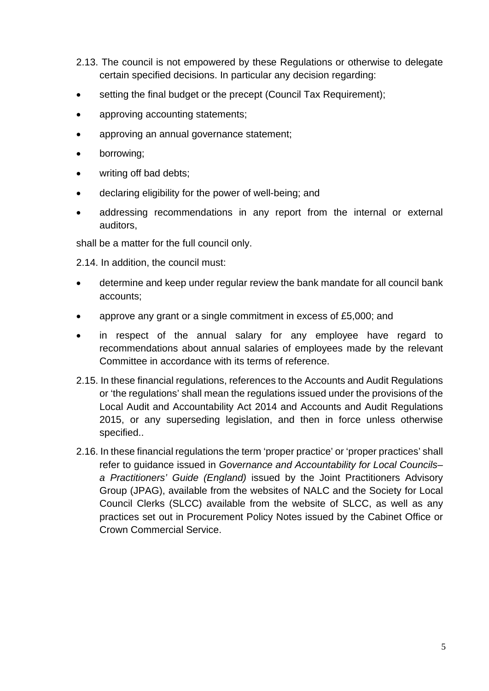- 2.13. The council is not empowered by these Regulations or otherwise to delegate certain specified decisions. In particular any decision regarding:
- setting the final budget or the precept (Council Tax Requirement);
- approving accounting statements;
- approving an annual governance statement;
- borrowing;
- writing off bad debts;
- declaring eligibility for the power of well-being; and
- addressing recommendations in any report from the internal or external auditors,

shall be a matter for the full council only.

2.14. In addition, the council must:

- determine and keep under regular review the bank mandate for all council bank accounts;
- approve any grant or a single commitment in excess of £5,000; and
- in respect of the annual salary for any employee have regard to recommendations about annual salaries of employees made by the relevant Committee in accordance with its terms of reference.
- 2.15. In these financial regulations, references to the Accounts and Audit Regulations or 'the regulations' shall mean the regulations issued under the provisions of the Local Audit and Accountability Act 2014 and Accounts and Audit Regulations 2015, or any superseding legislation, and then in force unless otherwise specified..
- 2.16. In these financial regulations the term 'proper practice' or 'proper practices' shall refer to guidance issued in *Governance and Accountability for Local Councils– a Practitioners' Guide (England)* issued by the Joint Practitioners Advisory Group (JPAG), available from the websites of NALC and the Society for Local Council Clerks (SLCC) available from the website of SLCC, as well as any practices set out in Procurement Policy Notes issued by the Cabinet Office or Crown Commercial Service.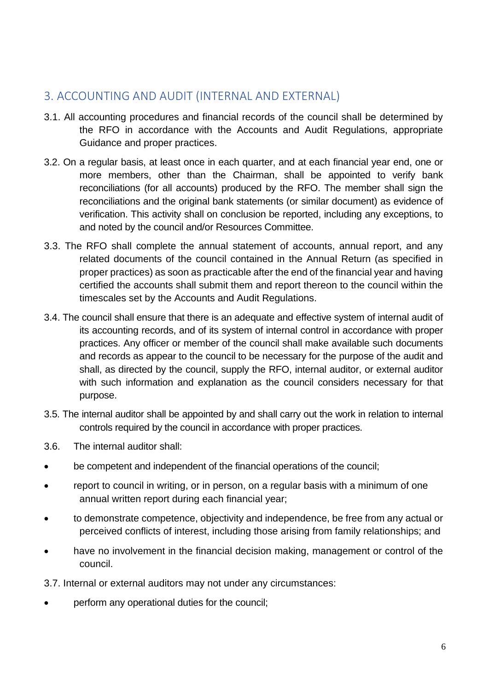# <span id="page-5-0"></span>3. ACCOUNTING AND AUDIT (INTERNAL AND EXTERNAL)

- 3.1. All accounting procedures and financial records of the council shall be determined by the RFO in accordance with the Accounts and Audit Regulations, appropriate Guidance and proper practices.
- 3.2. On a regular basis, at least once in each quarter, and at each financial year end, one or more members, other than the Chairman, shall be appointed to verify bank reconciliations (for all accounts) produced by the RFO. The member shall sign the reconciliations and the original bank statements (or similar document) as evidence of verification. This activity shall on conclusion be reported, including any exceptions, to and noted by the council and/or Resources Committee.
- 3.3. The RFO shall complete the annual statement of accounts, annual report, and any related documents of the council contained in the Annual Return (as specified in proper practices) as soon as practicable after the end of the financial year and having certified the accounts shall submit them and report thereon to the council within the timescales set by the Accounts and Audit Regulations.
- 3.4. The council shall ensure that there is an adequate and effective system of internal audit of its accounting records, and of its system of internal control in accordance with proper practices. Any officer or member of the council shall make available such documents and records as appear to the council to be necessary for the purpose of the audit and shall, as directed by the council, supply the RFO, internal auditor, or external auditor with such information and explanation as the council considers necessary for that purpose.
- 3.5. The internal auditor shall be appointed by and shall carry out the work in relation to internal controls required by the council in accordance with proper practices.
- 3.6. The internal auditor shall:
- be competent and independent of the financial operations of the council;
- report to council in writing, or in person, on a regular basis with a minimum of one annual written report during each financial year;
- to demonstrate competence, objectivity and independence, be free from any actual or perceived conflicts of interest, including those arising from family relationships; and
- have no involvement in the financial decision making, management or control of the council.

3.7. Internal or external auditors may not under any circumstances:

perform any operational duties for the council;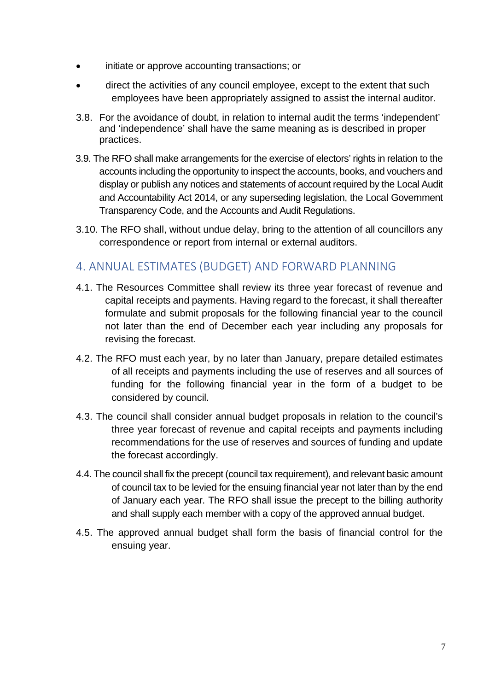- initiate or approve accounting transactions; or
- direct the activities of any council employee, except to the extent that such employees have been appropriately assigned to assist the internal auditor.
- 3.8. For the avoidance of doubt, in relation to internal audit the terms 'independent' and 'independence' shall have the same meaning as is described in proper practices.
- 3.9. The RFO shall make arrangements for the exercise of electors' rights in relation to the accounts including the opportunity to inspect the accounts, books, and vouchers and display or publish any notices and statements of account required by the Local Audit and Accountability Act 2014, or any superseding legislation, the Local Government Transparency Code, and the Accounts and Audit Regulations.
- 3.10. The RFO shall, without undue delay, bring to the attention of all councillors any correspondence or report from internal or external auditors.

# <span id="page-6-0"></span>4. ANNUAL ESTIMATES (BUDGET) AND FORWARD PLANNING

- 4.1. The Resources Committee shall review its three year forecast of revenue and capital receipts and payments. Having regard to the forecast, it shall thereafter formulate and submit proposals for the following financial year to the council not later than the end of December each year including any proposals for revising the forecast.
- 4.2. The RFO must each year, by no later than January, prepare detailed estimates of all receipts and payments including the use of reserves and all sources of funding for the following financial year in the form of a budget to be considered by council.
- 4.3. The council shall consider annual budget proposals in relation to the council's three year forecast of revenue and capital receipts and payments including recommendations for the use of reserves and sources of funding and update the forecast accordingly.
- 4.4. The council shall fix the precept (council tax requirement), and relevant basic amount of council tax to be levied for the ensuing financial year not later than by the end of January each year. The RFO shall issue the precept to the billing authority and shall supply each member with a copy of the approved annual budget.
- 4.5. The approved annual budget shall form the basis of financial control for the ensuing year.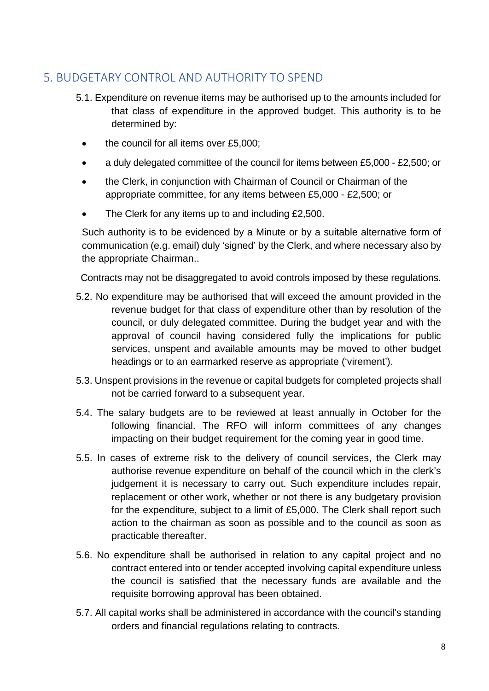# <span id="page-7-0"></span>5. BUDGETARY CONTROL AND AUTHORITY TO SPEND

- 5.1. Expenditure on revenue items may be authorised up to the amounts included for that class of expenditure in the approved budget. This authority is to be determined by:
	- the council for all items over £5,000;
	- a duly delegated committee of the council for items between £5,000 £2,500; or
	- the Clerk, in conjunction with Chairman of Council or Chairman of the appropriate committee, for any items between £5,000 - £2,500; or
	- The Clerk for any items up to and including £2,500.

Such authority is to be evidenced by a Minute or by a suitable alternative form of communication (e.g. email) duly 'signed' by the Clerk, and where necessary also by the appropriate Chairman..

Contracts may not be disaggregated to avoid controls imposed by these regulations.

- 5.2. No expenditure may be authorised that will exceed the amount provided in the revenue budget for that class of expenditure other than by resolution of the council, or duly delegated committee. During the budget year and with the approval of council having considered fully the implications for public services, unspent and available amounts may be moved to other budget headings or to an earmarked reserve as appropriate ('virement').
- 5.3. Unspent provisions in the revenue or capital budgets for completed projects shall not be carried forward to a subsequent year.
- 5.4. The salary budgets are to be reviewed at least annually in October for the following financial. The RFO will inform committees of any changes impacting on their budget requirement for the coming year in good time.
- 5.5. In cases of extreme risk to the delivery of council services, the Clerk may authorise revenue expenditure on behalf of the council which in the clerk's judgement it is necessary to carry out. Such expenditure includes repair, replacement or other work, whether or not there is any budgetary provision for the expenditure, subject to a limit of £5,000. The Clerk shall report such action to the chairman as soon as possible and to the council as soon as practicable thereafter.
- 5.6. No expenditure shall be authorised in relation to any capital project and no contract entered into or tender accepted involving capital expenditure unless the council is satisfied that the necessary funds are available and the requisite borrowing approval has been obtained.
- 5.7. All capital works shall be administered in accordance with the council's standing orders and financial regulations relating to contracts.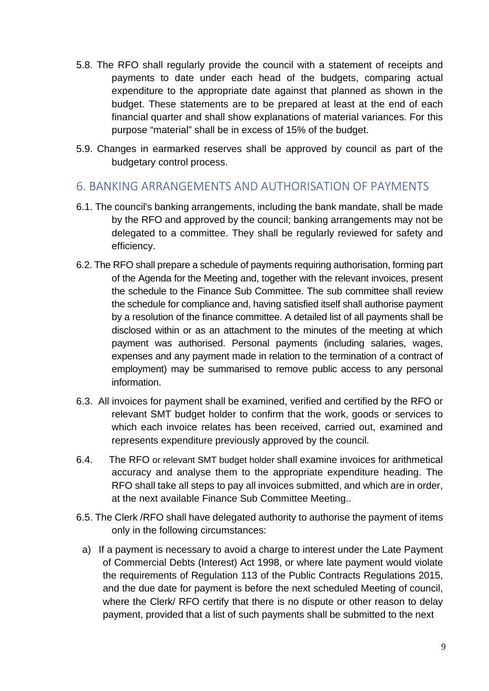- 5.8. The RFO shall regularly provide the council with a statement of receipts and payments to date under each head of the budgets, comparing actual expenditure to the appropriate date against that planned as shown in the budget. These statements are to be prepared at least at the end of each financial quarter and shall show explanations of material variances. For this purpose "material" shall be in excess of 15% of the budget.
- 5.9. Changes in earmarked reserves shall be approved by council as part of the budgetary control process.

## <span id="page-8-0"></span>6. BANKING ARRANGEMENTS AND AUTHORISATION OF PAYMENTS

- 6.1. The council's banking arrangements, including the bank mandate, shall be made by the RFO and approved by the council; banking arrangements may not be delegated to a committee. They shall be regularly reviewed for safety and efficiency.
- 6.2. The RFO shall prepare a schedule of payments requiring authorisation, forming part of the Agenda for the Meeting and, together with the relevant invoices, present the schedule to the Finance Sub Committee. The sub committee shall review the schedule for compliance and, having satisfied itself shall authorise payment by a resolution of the finance committee. A detailed list of all payments shall be disclosed within or as an attachment to the minutes of the meeting at which payment was authorised. Personal payments (including salaries, wages, expenses and any payment made in relation to the termination of a contract of employment) may be summarised to remove public access to any personal information.
- 6.3. All invoices for payment shall be examined, verified and certified by the RFO or relevant SMT budget holder to confirm that the work, goods or services to which each invoice relates has been received, carried out, examined and represents expenditure previously approved by the council.
- 6.4. The RFO or relevant SMT budget holder shall examine invoices for arithmetical accuracy and analyse them to the appropriate expenditure heading. The RFO shall take all steps to pay all invoices submitted, and which are in order, at the next available Finance Sub Committee Meeting..
- 6.5. The Clerk /RFO shall have delegated authority to authorise the payment of items only in the following circumstances:
	- a) If a payment is necessary to avoid a charge to interest under the Late Payment of Commercial Debts (Interest) Act 1998, or where late payment would violate the requirements of Regulation 113 of the Public Contracts Regulations 2015, and the due date for payment is before the next scheduled Meeting of council, where the Clerk/ RFO certify that there is no dispute or other reason to delay payment, provided that a list of such payments shall be submitted to the next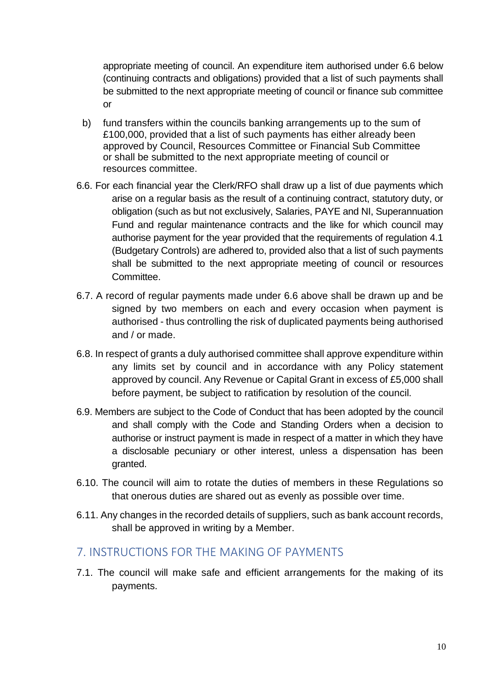appropriate meeting of council. An expenditure item authorised under 6.6 below (continuing contracts and obligations) provided that a list of such payments shall be submitted to the next appropriate meeting of council or finance sub committee or

- b) fund transfers within the councils banking arrangements up to the sum of £100,000, provided that a list of such payments has either already been approved by Council, Resources Committee or Financial Sub Committee or shall be submitted to the next appropriate meeting of council or resources committee.
- 6.6. For each financial year the Clerk/RFO shall draw up a list of due payments which arise on a regular basis as the result of a continuing contract, statutory duty, or obligation (such as but not exclusively, Salaries, PAYE and NI, Superannuation Fund and regular maintenance contracts and the like for which council may authorise payment for the year provided that the requirements of regulation 4.1 (Budgetary Controls) are adhered to, provided also that a list of such payments shall be submitted to the next appropriate meeting of council or resources Committee.
- 6.7. A record of regular payments made under 6.6 above shall be drawn up and be signed by two members on each and every occasion when payment is authorised - thus controlling the risk of duplicated payments being authorised and / or made.
- 6.8. In respect of grants a duly authorised committee shall approve expenditure within any limits set by council and in accordance with any Policy statement approved by council. Any Revenue or Capital Grant in excess of £5,000 shall before payment, be subject to ratification by resolution of the council.
- 6.9. Members are subject to the Code of Conduct that has been adopted by the council and shall comply with the Code and Standing Orders when a decision to authorise or instruct payment is made in respect of a matter in which they have a disclosable pecuniary or other interest, unless a dispensation has been granted.
- 6.10. The council will aim to rotate the duties of members in these Regulations so that onerous duties are shared out as evenly as possible over time.
- 6.11. Any changes in the recorded details of suppliers, such as bank account records, shall be approved in writing by a Member.

## <span id="page-9-0"></span>7. INSTRUCTIONS FOR THE MAKING OF PAYMENTS

7.1. The council will make safe and efficient arrangements for the making of its payments.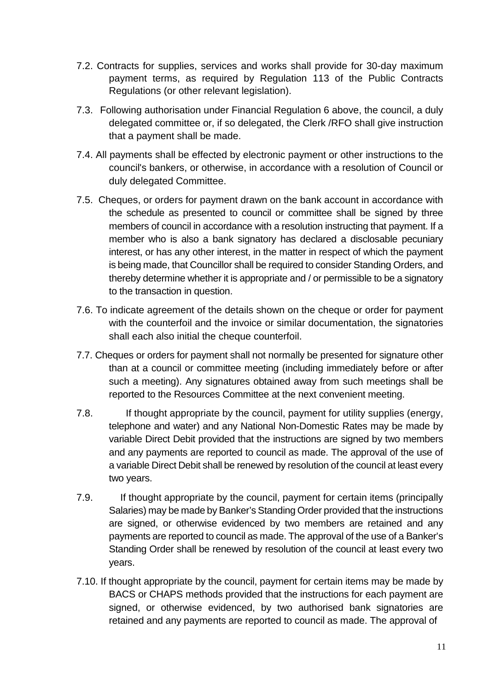- 7.2. Contracts for supplies, services and works shall provide for 30-day maximum payment terms, as required by Regulation 113 of the Public Contracts Regulations (or other relevant legislation).
- 7.3. Following authorisation under Financial Regulation 6 above, the council, a duly delegated committee or, if so delegated, the Clerk /RFO shall give instruction that a payment shall be made.
- 7.4. All payments shall be effected by electronic payment or other instructions to the council's bankers, or otherwise, in accordance with a resolution of Council or duly delegated Committee.
- 7.5. Cheques, or orders for payment drawn on the bank account in accordance with the schedule as presented to council or committee shall be signed by three members of council in accordance with a resolution instructing that payment. If a member who is also a bank signatory has declared a disclosable pecuniary interest, or has any other interest, in the matter in respect of which the payment is being made, that Councillor shall be required to consider Standing Orders, and thereby determine whether it is appropriate and / or permissible to be a signatory to the transaction in question.
- 7.6. To indicate agreement of the details shown on the cheque or order for payment with the counterfoil and the invoice or similar documentation, the signatories shall each also initial the cheque counterfoil.
- 7.7. Cheques or orders for payment shall not normally be presented for signature other than at a council or committee meeting (including immediately before or after such a meeting). Any signatures obtained away from such meetings shall be reported to the Resources Committee at the next convenient meeting.
- 7.8. If thought appropriate by the council, payment for utility supplies (energy, telephone and water) and any National Non-Domestic Rates may be made by variable Direct Debit provided that the instructions are signed by two members and any payments are reported to council as made. The approval of the use of a variable Direct Debit shall be renewed by resolution of the council at least every two years.
- 7.9. If thought appropriate by the council, payment for certain items (principally Salaries) may be made by Banker's Standing Order provided that the instructions are signed, or otherwise evidenced by two members are retained and any payments are reported to council as made. The approval of the use of a Banker's Standing Order shall be renewed by resolution of the council at least every two years.
- 7.10. If thought appropriate by the council, payment for certain items may be made by BACS or CHAPS methods provided that the instructions for each payment are signed, or otherwise evidenced, by two authorised bank signatories are retained and any payments are reported to council as made. The approval of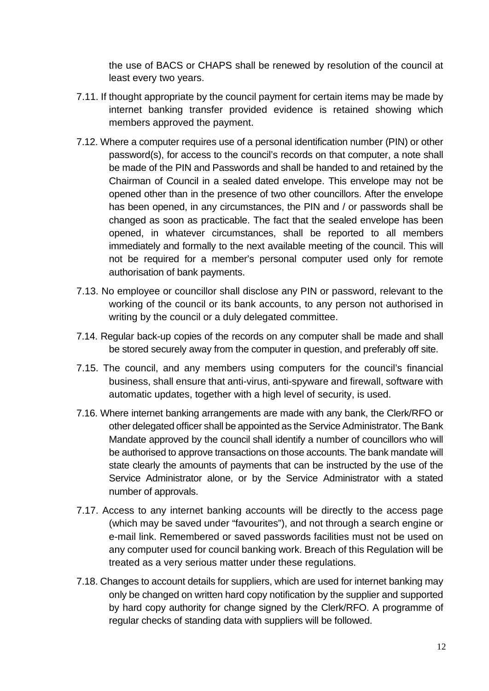the use of BACS or CHAPS shall be renewed by resolution of the council at least every two years.

- 7.11. If thought appropriate by the council payment for certain items may be made by internet banking transfer provided evidence is retained showing which members approved the payment.
- 7.12. Where a computer requires use of a personal identification number (PIN) or other password(s), for access to the council's records on that computer, a note shall be made of the PIN and Passwords and shall be handed to and retained by the Chairman of Council in a sealed dated envelope. This envelope may not be opened other than in the presence of two other councillors. After the envelope has been opened, in any circumstances, the PIN and / or passwords shall be changed as soon as practicable. The fact that the sealed envelope has been opened, in whatever circumstances, shall be reported to all members immediately and formally to the next available meeting of the council. This will not be required for a member's personal computer used only for remote authorisation of bank payments.
- 7.13. No employee or councillor shall disclose any PIN or password, relevant to the working of the council or its bank accounts, to any person not authorised in writing by the council or a duly delegated committee.
- 7.14. Regular back-up copies of the records on any computer shall be made and shall be stored securely away from the computer in question, and preferably off site.
- 7.15. The council, and any members using computers for the council's financial business, shall ensure that anti-virus, anti-spyware and firewall, software with automatic updates, together with a high level of security, is used.
- 7.16. Where internet banking arrangements are made with any bank, the Clerk/RFO or other delegated officer shall be appointed as the Service Administrator. The Bank Mandate approved by the council shall identify a number of councillors who will be authorised to approve transactions on those accounts. The bank mandate will state clearly the amounts of payments that can be instructed by the use of the Service Administrator alone, or by the Service Administrator with a stated number of approvals.
- 7.17. Access to any internet banking accounts will be directly to the access page (which may be saved under "favourites"), and not through a search engine or e-mail link. Remembered or saved passwords facilities must not be used on any computer used for council banking work. Breach of this Regulation will be treated as a very serious matter under these regulations.
- 7.18. Changes to account details for suppliers, which are used for internet banking may only be changed on written hard copy notification by the supplier and supported by hard copy authority for change signed by the Clerk/RFO. A programme of regular checks of standing data with suppliers will be followed.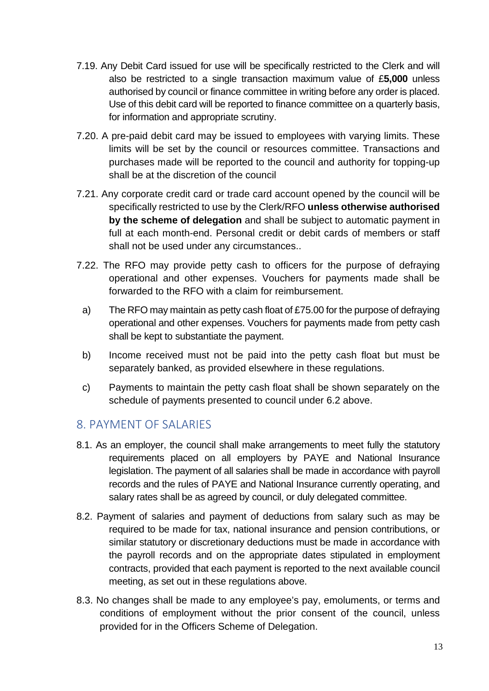- 7.19. Any Debit Card issued for use will be specifically restricted to the Clerk and will also be restricted to a single transaction maximum value of £**5,000** unless authorised by council or finance committee in writing before any order is placed. Use of this debit card will be reported to finance committee on a quarterly basis, for information and appropriate scrutiny.
- 7.20. A pre-paid debit card may be issued to employees with varying limits. These limits will be set by the council or resources committee. Transactions and purchases made will be reported to the council and authority for topping-up shall be at the discretion of the council
- 7.21. Any corporate credit card or trade card account opened by the council will be specifically restricted to use by the Clerk/RFO **unless otherwise authorised by the scheme of delegation** and shall be subject to automatic payment in full at each month-end. Personal credit or debit cards of members or staff shall not be used under any circumstances..
- 7.22. The RFO may provide petty cash to officers for the purpose of defraying operational and other expenses. Vouchers for payments made shall be forwarded to the RFO with a claim for reimbursement.
	- a) The RFO may maintain as petty cash float of £75.00 for the purpose of defraying operational and other expenses. Vouchers for payments made from petty cash shall be kept to substantiate the payment.
	- b) Income received must not be paid into the petty cash float but must be separately banked, as provided elsewhere in these regulations.
	- c) Payments to maintain the petty cash float shall be shown separately on the schedule of payments presented to council under 6.2 above.

# <span id="page-12-0"></span>8. PAYMENT OF SALARIES

- 8.1. As an employer, the council shall make arrangements to meet fully the statutory requirements placed on all employers by PAYE and National Insurance legislation. The payment of all salaries shall be made in accordance with payroll records and the rules of PAYE and National Insurance currently operating, and salary rates shall be as agreed by council, or duly delegated committee.
- 8.2. Payment of salaries and payment of deductions from salary such as may be required to be made for tax, national insurance and pension contributions, or similar statutory or discretionary deductions must be made in accordance with the payroll records and on the appropriate dates stipulated in employment contracts, provided that each payment is reported to the next available council meeting, as set out in these regulations above.
- 8.3. No changes shall be made to any employee's pay, emoluments, or terms and conditions of employment without the prior consent of the council, unless provided for in the Officers Scheme of Delegation.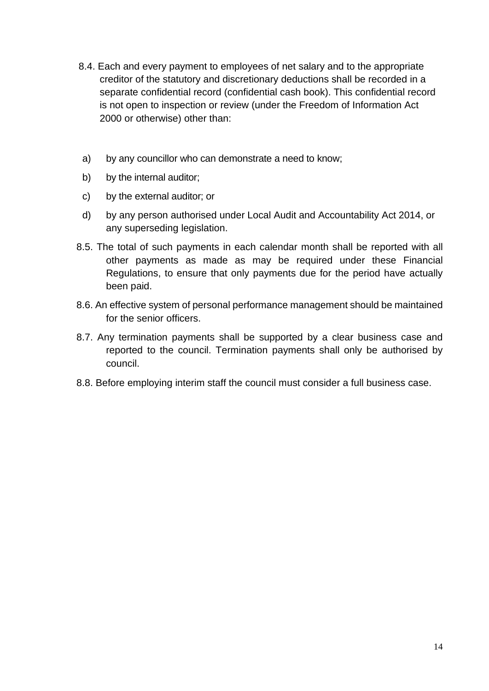- 8.4. Each and every payment to employees of net salary and to the appropriate creditor of the statutory and discretionary deductions shall be recorded in a separate confidential record (confidential cash book). This confidential record is not open to inspection or review (under the Freedom of Information Act 2000 or otherwise) other than:
- a) by any councillor who can demonstrate a need to know;
- b) by the internal auditor;
- c) by the external auditor; or
- d) by any person authorised under Local Audit and Accountability Act 2014, or any superseding legislation.
- 8.5. The total of such payments in each calendar month shall be reported with all other payments as made as may be required under these Financial Regulations, to ensure that only payments due for the period have actually been paid.
- 8.6. An effective system of personal performance management should be maintained for the senior officers.
- 8.7. Any termination payments shall be supported by a clear business case and reported to the council. Termination payments shall only be authorised by council.
- 8.8. Before employing interim staff the council must consider a full business case.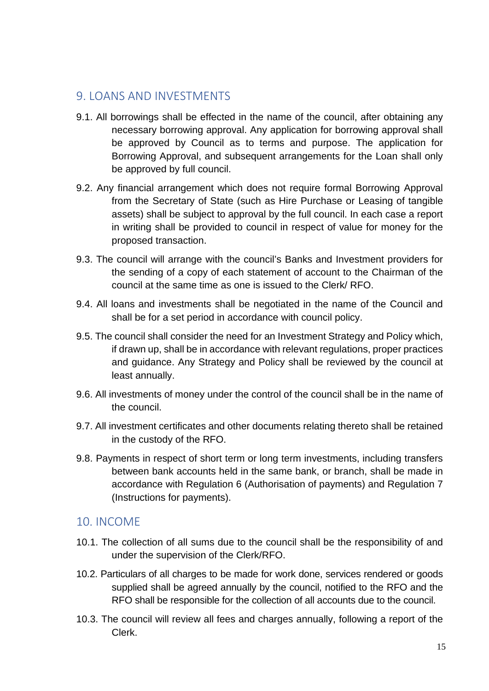## <span id="page-14-0"></span>9. LOANS AND INVESTMENTS

- 9.1. All borrowings shall be effected in the name of the council, after obtaining any necessary borrowing approval. Any application for borrowing approval shall be approved by Council as to terms and purpose. The application for Borrowing Approval, and subsequent arrangements for the Loan shall only be approved by full council.
- 9.2. Any financial arrangement which does not require formal Borrowing Approval from the Secretary of State (such as Hire Purchase or Leasing of tangible assets) shall be subject to approval by the full council. In each case a report in writing shall be provided to council in respect of value for money for the proposed transaction.
- 9.3. The council will arrange with the council's Banks and Investment providers for the sending of a copy of each statement of account to the Chairman of the council at the same time as one is issued to the Clerk/ RFO.
- 9.4. All loans and investments shall be negotiated in the name of the Council and shall be for a set period in accordance with council policy.
- 9.5. The council shall consider the need for an Investment Strategy and Policy which, if drawn up, shall be in accordance with relevant regulations, proper practices and guidance. Any Strategy and Policy shall be reviewed by the council at least annually.
- 9.6. All investments of money under the control of the council shall be in the name of the council.
- 9.7. All investment certificates and other documents relating thereto shall be retained in the custody of the RFO.
- 9.8. Payments in respect of short term or long term investments, including transfers between bank accounts held in the same bank, or branch, shall be made in accordance with Regulation 6 (Authorisation of payments) and Regulation 7 (Instructions for payments).

# <span id="page-14-1"></span>10. INCOME

- 10.1. The collection of all sums due to the council shall be the responsibility of and under the supervision of the Clerk/RFO.
- 10.2. Particulars of all charges to be made for work done, services rendered or goods supplied shall be agreed annually by the council, notified to the RFO and the RFO shall be responsible for the collection of all accounts due to the council.
- 10.3. The council will review all fees and charges annually, following a report of the Clerk.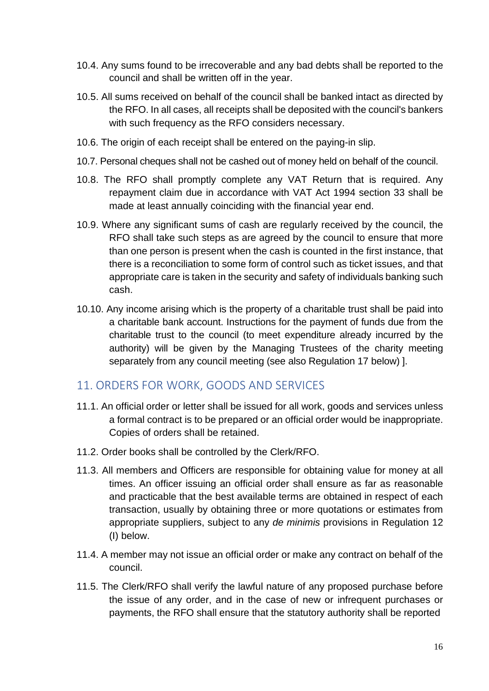- 10.4. Any sums found to be irrecoverable and any bad debts shall be reported to the council and shall be written off in the year.
- 10.5. All sums received on behalf of the council shall be banked intact as directed by the RFO. In all cases, all receipts shall be deposited with the council's bankers with such frequency as the RFO considers necessary.
- 10.6. The origin of each receipt shall be entered on the paying-in slip.
- 10.7. Personal cheques shall not be cashed out of money held on behalf of the council.
- 10.8. The RFO shall promptly complete any VAT Return that is required. Any repayment claim due in accordance with VAT Act 1994 section 33 shall be made at least annually coinciding with the financial year end.
- 10.9. Where any significant sums of cash are regularly received by the council, the RFO shall take such steps as are agreed by the council to ensure that more than one person is present when the cash is counted in the first instance, that there is a reconciliation to some form of control such as ticket issues, and that appropriate care is taken in the security and safety of individuals banking such cash.
- 10.10. Any income arising which is the property of a charitable trust shall be paid into a charitable bank account. Instructions for the payment of funds due from the charitable trust to the council (to meet expenditure already incurred by the authority) will be given by the Managing Trustees of the charity meeting separately from any council meeting (see also Regulation 17 below) ].

#### <span id="page-15-0"></span>11. ORDERS FOR WORK, GOODS AND SERVICES

- 11.1. An official order or letter shall be issued for all work, goods and services unless a formal contract is to be prepared or an official order would be inappropriate. Copies of orders shall be retained.
- 11.2. Order books shall be controlled by the Clerk/RFO.
- 11.3. All members and Officers are responsible for obtaining value for money at all times. An officer issuing an official order shall ensure as far as reasonable and practicable that the best available terms are obtained in respect of each transaction, usually by obtaining three or more quotations or estimates from appropriate suppliers, subject to any *de minimis* provisions in Regulation 12 (I) below.
- 11.4. A member may not issue an official order or make any contract on behalf of the council.
- 11.5. The Clerk/RFO shall verify the lawful nature of any proposed purchase before the issue of any order, and in the case of new or infrequent purchases or payments, the RFO shall ensure that the statutory authority shall be reported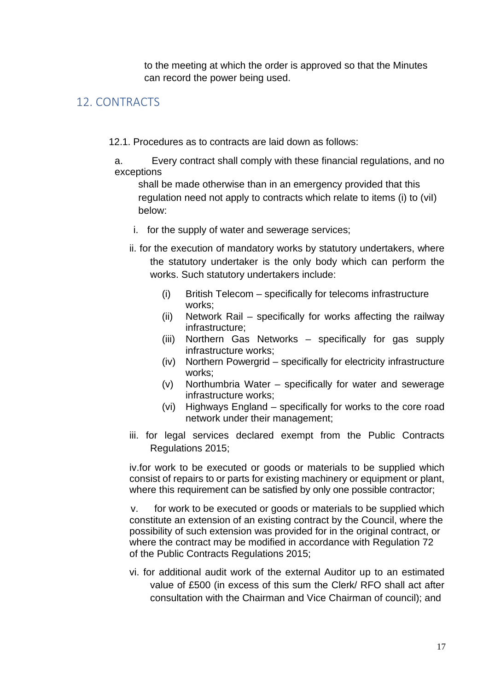to the meeting at which the order is approved so that the Minutes can record the power being used.

## <span id="page-16-0"></span>12. CONTRACTS

- 12.1. Procedures as to contracts are laid down as follows:
- a. Every contract shall comply with these financial regulations, and no exceptions
	- shall be made otherwise than in an emergency provided that this regulation need not apply to contracts which relate to items (i) to (viI) below:
	- i. for the supply of water and sewerage services;
	- ii. for the execution of mandatory works by statutory undertakers, where the statutory undertaker is the only body which can perform the works. Such statutory undertakers include:
		- (i) British Telecom specifically for telecoms infrastructure works;
		- (ii) Network Rail specifically for works affecting the railway infrastructure;
		- (iii) Northern Gas Networks specifically for gas supply infrastructure works;
		- (iv) Northern Powergrid specifically for electricity infrastructure works;
		- (v) Northumbria Water specifically for water and sewerage infrastructure works;
		- (vi) Highways England specifically for works to the core road network under their management;
	- iii. for legal services declared exempt from the Public Contracts Regulations 2015;

iv.for work to be executed or goods or materials to be supplied which consist of repairs to or parts for existing machinery or equipment or plant, where this requirement can be satisfied by only one possible contractor;

 v. for work to be executed or goods or materials to be supplied which constitute an extension of an existing contract by the Council, where the possibility of such extension was provided for in the original contract, or where the contract may be modified in accordance with Regulation 72 of the Public Contracts Regulations 2015;

vi. for additional audit work of the external Auditor up to an estimated value of £500 (in excess of this sum the Clerk/ RFO shall act after consultation with the Chairman and Vice Chairman of council); and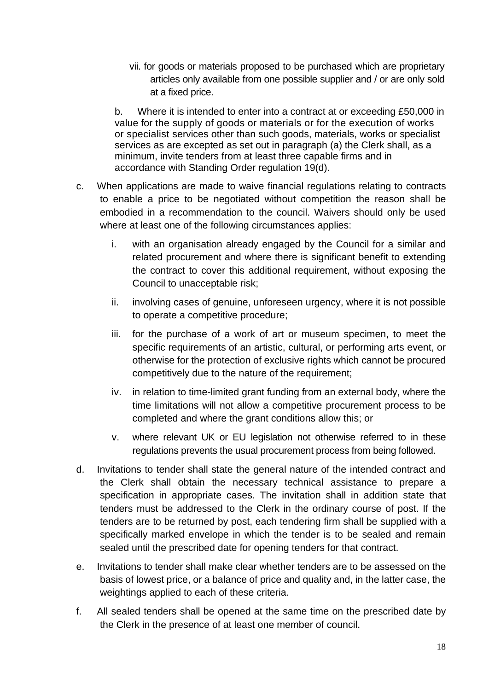vii. for goods or materials proposed to be purchased which are proprietary articles only available from one possible supplier and / or are only sold at a fixed price.

b. Where it is intended to enter into a contract at or exceeding £50,000 in value for the supply of goods or materials or for the execution of works or specialist services other than such goods, materials, works or specialist services as are excepted as set out in paragraph (a) the Clerk shall, as a minimum, invite tenders from at least three capable firms and in accordance with Standing Order regulation 19(d).

- c. When applications are made to waive financial regulations relating to contracts to enable a price to be negotiated without competition the reason shall be embodied in a recommendation to the council. Waivers should only be used where at least one of the following circumstances applies:
	- i. with an organisation already engaged by the Council for a similar and related procurement and where there is significant benefit to extending the contract to cover this additional requirement, without exposing the Council to unacceptable risk;
	- ii. involving cases of genuine, unforeseen urgency, where it is not possible to operate a competitive procedure;
	- iii. for the purchase of a work of art or museum specimen, to meet the specific requirements of an artistic, cultural, or performing arts event, or otherwise for the protection of exclusive rights which cannot be procured competitively due to the nature of the requirement;
	- iv. in relation to time-limited grant funding from an external body, where the time limitations will not allow a competitive procurement process to be completed and where the grant conditions allow this; or
	- v. where relevant UK or EU legislation not otherwise referred to in these regulations prevents the usual procurement process from being followed.
- d. Invitations to tender shall state the general nature of the intended contract and the Clerk shall obtain the necessary technical assistance to prepare a specification in appropriate cases. The invitation shall in addition state that tenders must be addressed to the Clerk in the ordinary course of post. If the tenders are to be returned by post, each tendering firm shall be supplied with a specifically marked envelope in which the tender is to be sealed and remain sealed until the prescribed date for opening tenders for that contract.
- e. Invitations to tender shall make clear whether tenders are to be assessed on the basis of lowest price, or a balance of price and quality and, in the latter case, the weightings applied to each of these criteria.
- f. All sealed tenders shall be opened at the same time on the prescribed date by the Clerk in the presence of at least one member of council.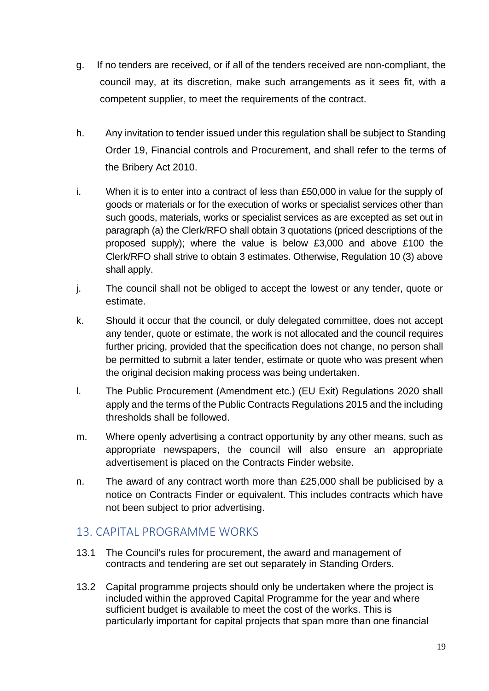- g. If no tenders are received, or if all of the tenders received are non-compliant, the council may, at its discretion, make such arrangements as it sees fit, with a competent supplier, to meet the requirements of the contract.
- h. Any invitation to tender issued under this regulation shall be subject to Standing Order 19, Financial controls and Procurement, and shall refer to the terms of the Bribery Act 2010.
- i. When it is to enter into a contract of less than £50,000 in value for the supply of goods or materials or for the execution of works or specialist services other than such goods, materials, works or specialist services as are excepted as set out in paragraph (a) the Clerk/RFO shall obtain 3 quotations (priced descriptions of the proposed supply); where the value is below £3,000 and above £100 the Clerk/RFO shall strive to obtain 3 estimates. Otherwise, Regulation 10 (3) above shall apply.
- j. The council shall not be obliged to accept the lowest or any tender, quote or estimate.
- k. Should it occur that the council, or duly delegated committee, does not accept any tender, quote or estimate, the work is not allocated and the council requires further pricing, provided that the specification does not change, no person shall be permitted to submit a later tender, estimate or quote who was present when the original decision making process was being undertaken.
- l. The Public Procurement (Amendment etc.) (EU Exit) Regulations 2020 shall apply and the terms of the Public Contracts Regulations 2015 and the including thresholds shall be followed.
- m. Where openly advertising a contract opportunity by any other means, such as appropriate newspapers, the council will also ensure an appropriate advertisement is placed on the Contracts Finder website.
- n. The award of any contract worth more than £25,000 shall be publicised by a notice on Contracts Finder or equivalent. This includes contracts which have not been subject to prior advertising.

# <span id="page-18-0"></span>13. CAPITAL PROGRAMME WORKS

- 13.1 The Council's rules for procurement, the award and management of contracts and tendering are set out separately in Standing Orders.
- 13.2 Capital programme projects should only be undertaken where the project is included within the approved Capital Programme for the year and where sufficient budget is available to meet the cost of the works. This is particularly important for capital projects that span more than one financial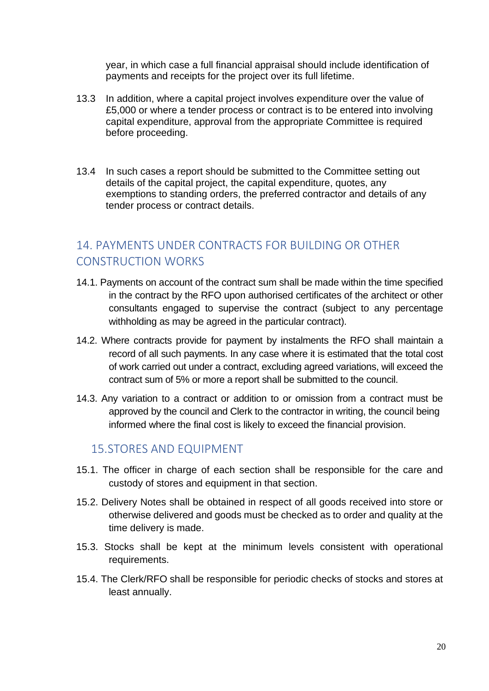year, in which case a full financial appraisal should include identification of payments and receipts for the project over its full lifetime.

- 13.3 In addition, where a capital project involves expenditure over the value of £5,000 or where a tender process or contract is to be entered into involving capital expenditure, approval from the appropriate Committee is required before proceeding.
- 13.4 In such cases a report should be submitted to the Committee setting out details of the capital project, the capital expenditure, quotes, any exemptions to standing orders, the preferred contractor and details of any tender process or contract details.

# <span id="page-19-0"></span>14. PAYMENTS UNDER CONTRACTS FOR BUILDING OR OTHER CONSTRUCTION WORKS

- 14.1. Payments on account of the contract sum shall be made within the time specified in the contract by the RFO upon authorised certificates of the architect or other consultants engaged to supervise the contract (subject to any percentage withholding as may be agreed in the particular contract).
- 14.2. Where contracts provide for payment by instalments the RFO shall maintain a record of all such payments. In any case where it is estimated that the total cost of work carried out under a contract, excluding agreed variations, will exceed the contract sum of 5% or more a report shall be submitted to the council.
- 14.3. Any variation to a contract or addition to or omission from a contract must be approved by the council and Clerk to the contractor in writing, the council being informed where the final cost is likely to exceed the financial provision.

## <span id="page-19-1"></span>15.STORES AND EQUIPMENT

- 15.1. The officer in charge of each section shall be responsible for the care and custody of stores and equipment in that section.
- 15.2. Delivery Notes shall be obtained in respect of all goods received into store or otherwise delivered and goods must be checked as to order and quality at the time delivery is made.
- 15.3. Stocks shall be kept at the minimum levels consistent with operational requirements.
- 15.4. The Clerk/RFO shall be responsible for periodic checks of stocks and stores at least annually.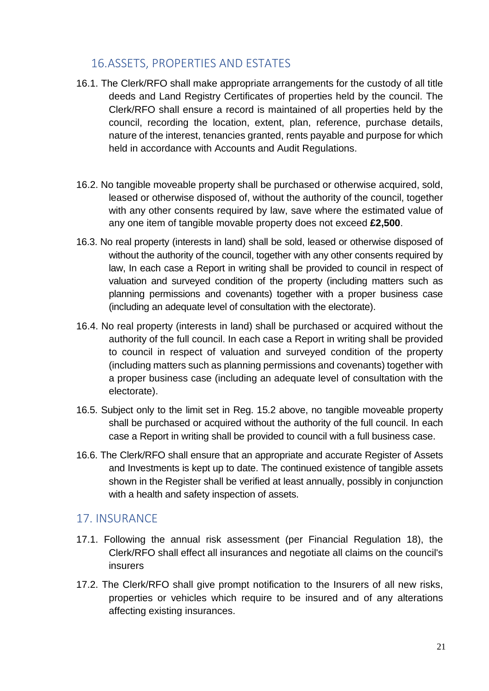# <span id="page-20-0"></span>16.ASSETS, PROPERTIES AND ESTATES

- 16.1. The Clerk/RFO shall make appropriate arrangements for the custody of all title deeds and Land Registry Certificates of properties held by the council. The Clerk/RFO shall ensure a record is maintained of all properties held by the council, recording the location, extent, plan, reference, purchase details, nature of the interest, tenancies granted, rents payable and purpose for which held in accordance with Accounts and Audit Regulations.
- 16.2. No tangible moveable property shall be purchased or otherwise acquired, sold, leased or otherwise disposed of, without the authority of the council, together with any other consents required by law, save where the estimated value of any one item of tangible movable property does not exceed **£2,500**.
- 16.3. No real property (interests in land) shall be sold, leased or otherwise disposed of without the authority of the council, together with any other consents required by law, In each case a Report in writing shall be provided to council in respect of valuation and surveyed condition of the property (including matters such as planning permissions and covenants) together with a proper business case (including an adequate level of consultation with the electorate).
- 16.4. No real property (interests in land) shall be purchased or acquired without the authority of the full council. In each case a Report in writing shall be provided to council in respect of valuation and surveyed condition of the property (including matters such as planning permissions and covenants) together with a proper business case (including an adequate level of consultation with the electorate).
- 16.5. Subject only to the limit set in Reg. 15.2 above, no tangible moveable property shall be purchased or acquired without the authority of the full council. In each case a Report in writing shall be provided to council with a full business case.
- 16.6. The Clerk/RFO shall ensure that an appropriate and accurate Register of Assets and Investments is kept up to date. The continued existence of tangible assets shown in the Register shall be verified at least annually, possibly in conjunction with a health and safety inspection of assets.

# <span id="page-20-1"></span>17. INSURANCE

- 17.1. Following the annual risk assessment (per Financial Regulation 18), the Clerk/RFO shall effect all insurances and negotiate all claims on the council's insurers
- 17.2. The Clerk/RFO shall give prompt notification to the Insurers of all new risks, properties or vehicles which require to be insured and of any alterations affecting existing insurances.